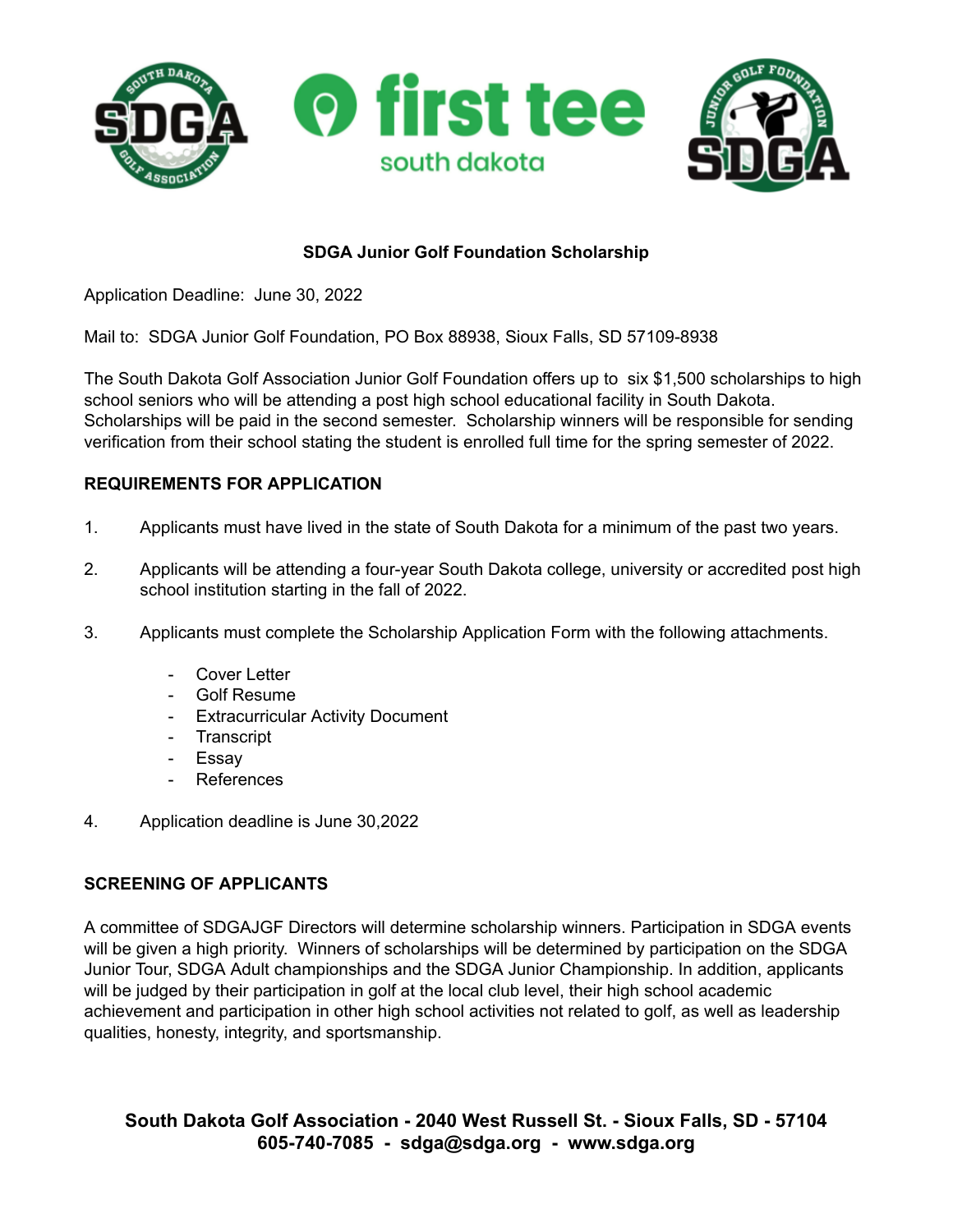

# **SDGA Junior Golf Foundation Scholarship**

Application Deadline: June 30, 2022

Mail to: SDGA Junior Golf Foundation, PO Box 88938, Sioux Falls, SD 57109-8938

The South Dakota Golf Association Junior Golf Foundation offers up to six \$1,500 scholarships to high school seniors who will be attending a post high school educational facility in South Dakota. Scholarships will be paid in the second semester. Scholarship winners will be responsible for sending verification from their school stating the student is enrolled full time for the spring semester of 2022.

### **REQUIREMENTS FOR APPLICATION**

- 1. Applicants must have lived in the state of South Dakota for a minimum of the past two years.
- 2. Applicants will be attending a four-year South Dakota college, university or accredited post high school institution starting in the fall of 2022.
- 3. Applicants must complete the Scholarship Application Form with the following attachments.
	- Cover Letter
	- Golf Resume
	- Extracurricular Activity Document
	- Transcript
	- Essay
	- **References**
- 4. Application deadline is June 30,2022

### **SCREENING OF APPLICANTS**

A committee of SDGAJGF Directors will determine scholarship winners. Participation in SDGA events will be given a high priority. Winners of scholarships will be determined by participation on the SDGA Junior Tour, SDGA Adult championships and the SDGA Junior Championship. In addition, applicants will be judged by their participation in golf at the local club level, their high school academic achievement and participation in other high school activities not related to golf, as well as leadership qualities, honesty, integrity, and sportsmanship.

**South Dakota Golf Association - 2040 West Russell St. - Sioux Falls, SD - 57104 605-740-7085 - sdga@sdga.org - www.sdga.org**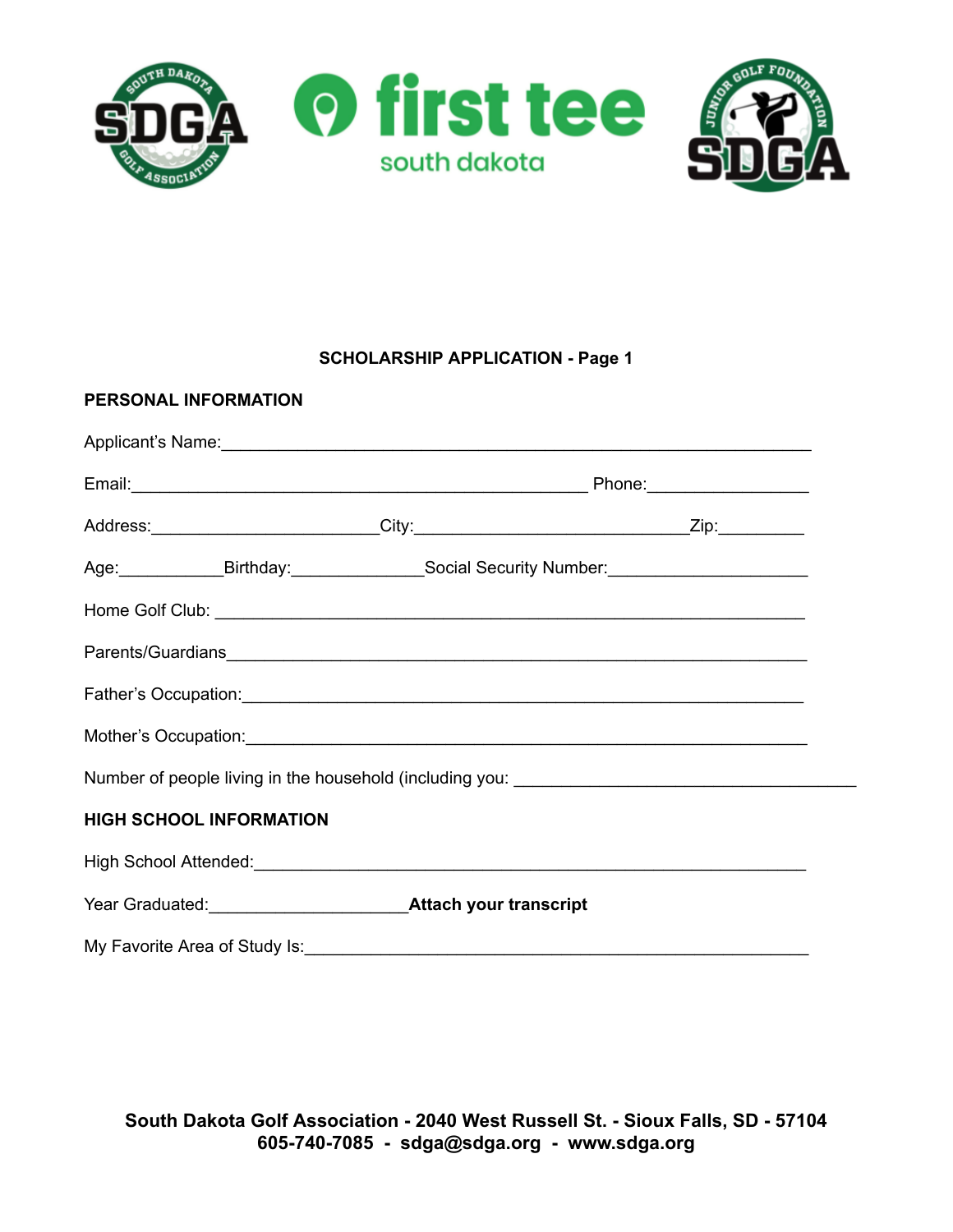

# **SCHOLARSHIP APPLICATION - Page 1**

| PERSONAL INFORMATION           |                                                                                         |                                                                                                                                                                                                                                |  |
|--------------------------------|-----------------------------------------------------------------------------------------|--------------------------------------------------------------------------------------------------------------------------------------------------------------------------------------------------------------------------------|--|
|                                |                                                                                         |                                                                                                                                                                                                                                |  |
|                                |                                                                                         | Email: Phone: Phone: Phone: Phone: Phone: Phone: Phone: Phone: Phone: Phone: Phone: Phone: Phone: Phone: Phone: Phone: Phone: Phone: Phone: Phone: Phone: Phone: Phone: Phone: Phone: Phone: Phone: Phone: Phone: Phone: Phone |  |
|                                |                                                                                         |                                                                                                                                                                                                                                |  |
|                                | Age: Birthday: Social Security Number: Communication Control of Social Security Number: |                                                                                                                                                                                                                                |  |
|                                |                                                                                         |                                                                                                                                                                                                                                |  |
|                                |                                                                                         |                                                                                                                                                                                                                                |  |
|                                |                                                                                         |                                                                                                                                                                                                                                |  |
|                                |                                                                                         |                                                                                                                                                                                                                                |  |
|                                | Number of people living in the household (including you: ________________________       |                                                                                                                                                                                                                                |  |
| <b>HIGH SCHOOL INFORMATION</b> |                                                                                         |                                                                                                                                                                                                                                |  |
|                                |                                                                                         |                                                                                                                                                                                                                                |  |
|                                |                                                                                         |                                                                                                                                                                                                                                |  |
|                                |                                                                                         |                                                                                                                                                                                                                                |  |

**South Dakota Golf Association - 2040 West Russell St. - Sioux Falls, SD - 57104 605-740-7085 - sdga@sdga.org - www.sdga.org**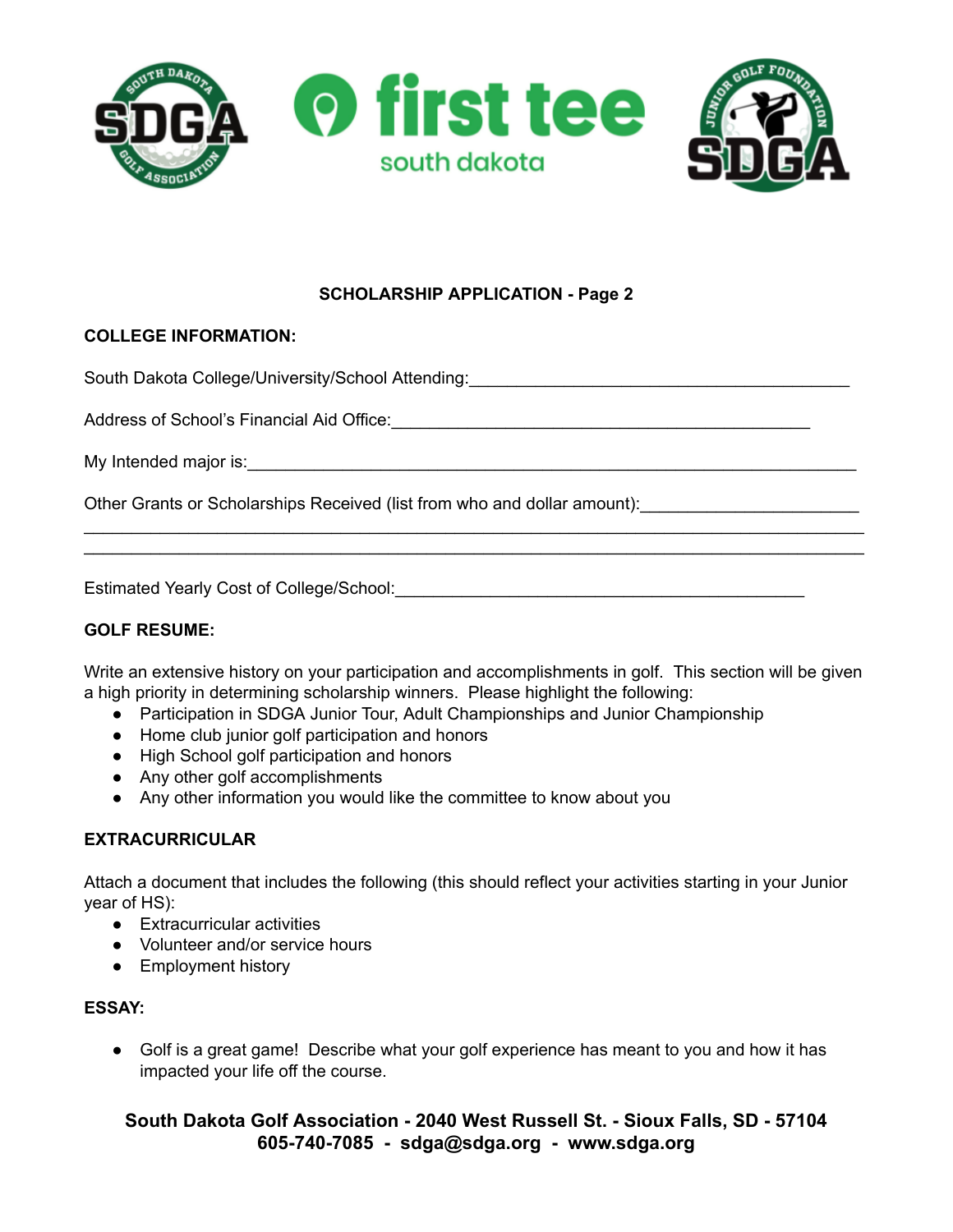

## **SCHOLARSHIP APPLICATION - Page 2**

#### **COLLEGE INFORMATION:**

South Dakota College/University/School Attending: **With Action Action College/University/School Attending**:

Address of School's Financial Aid Office:  $\blacksquare$ 

My Intended major is: example of the state of the state of the state of the state of the state of the state of the state of the state of the state of the state of the state of the state of the state of the state of the sta

Other Grants or Scholarships Received (list from who and dollar amount):

Estimated Yearly Cost of College/School:\_\_\_\_\_\_\_\_\_\_\_\_\_\_\_\_\_\_\_\_\_\_\_\_\_\_\_\_\_\_\_\_\_\_\_\_\_\_\_\_\_\_\_

#### **GOLF RESUME:**

Write an extensive history on your participation and accomplishments in golf. This section will be given a high priority in determining scholarship winners. Please highlight the following:

 $\mathcal{L}_\mathcal{L} = \mathcal{L}_\mathcal{L} = \mathcal{L}_\mathcal{L} = \mathcal{L}_\mathcal{L} = \mathcal{L}_\mathcal{L} = \mathcal{L}_\mathcal{L} = \mathcal{L}_\mathcal{L} = \mathcal{L}_\mathcal{L} = \mathcal{L}_\mathcal{L} = \mathcal{L}_\mathcal{L} = \mathcal{L}_\mathcal{L} = \mathcal{L}_\mathcal{L} = \mathcal{L}_\mathcal{L} = \mathcal{L}_\mathcal{L} = \mathcal{L}_\mathcal{L} = \mathcal{L}_\mathcal{L} = \mathcal{L}_\mathcal{L}$  $\mathcal{L}_\mathcal{L} = \mathcal{L}_\mathcal{L} = \mathcal{L}_\mathcal{L} = \mathcal{L}_\mathcal{L} = \mathcal{L}_\mathcal{L} = \mathcal{L}_\mathcal{L} = \mathcal{L}_\mathcal{L} = \mathcal{L}_\mathcal{L} = \mathcal{L}_\mathcal{L} = \mathcal{L}_\mathcal{L} = \mathcal{L}_\mathcal{L} = \mathcal{L}_\mathcal{L} = \mathcal{L}_\mathcal{L} = \mathcal{L}_\mathcal{L} = \mathcal{L}_\mathcal{L} = \mathcal{L}_\mathcal{L} = \mathcal{L}_\mathcal{L}$ 

- Participation in SDGA Junior Tour, Adult Championships and Junior Championship
- Home club junior golf participation and honors
- High School golf participation and honors
- Any other golf accomplishments
- Any other information you would like the committee to know about you

#### **EXTRACURRICULAR**

Attach a document that includes the following (this should reflect your activities starting in your Junior year of HS):

- Extracurricular activities
- Volunteer and/or service hours
- Employment history

#### **ESSAY:**

● Golf is a great game! Describe what your golf experience has meant to you and how it has impacted your life off the course.

**South Dakota Golf Association - 2040 West Russell St. - Sioux Falls, SD - 57104 605-740-7085 - sdga@sdga.org - www.sdga.org**